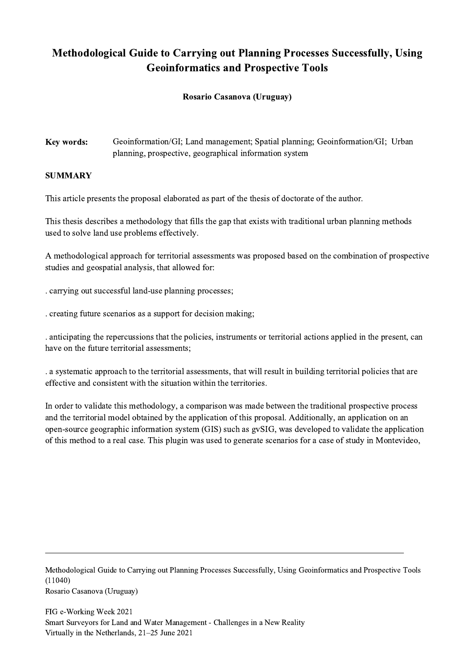## Methodological Guide to Carrying out Planning Processes Successfully, Using Geoinformatics and Prospective Tools

## Rosario Casanova (Uruguay)

Key words: Geoinformation/GI; Land management; Spatial planning; Geoinformation/GI; Urban planning, prospective, geographical information system

## **SUMMARY**

This article presents the proposal elaborated as part of the thesis of doctorate of the author.

This thesis describes a methodology that fills the gap that exists with traditional urban planning methods used to solve land use problems effectively.

A methodological approach for territorial assessments was proposed based on the combination of prospective studies and geospatial analysis, that allowed for:

. carrying out successful land-use planning processes;

. creating future scenarios as a support for decision making;

. anticipating the repercussions that the policies, instruments or territorial actions applied in the present, can have on the future territorial assessments;

. a systematic approach to the territorial assessments, that will result in building territorial policies that are effective and consistent with the situation within the territories.

In order to validate this methodology, a comparison was made between the traditional prospective process and the territorial model obtained by the application of this proposal. Additionally, an application on an open-source geographic information system (GIS) such as gvSIG, was developed to validate the application of this method to a real case. This plugin was used to generate scenarios for a case of study in Montevideo,

Methodological Guide to Carrying out Planning Processes Successfully, Using Geoinformatics and Prospective Tools (11040) Rosario Casanova (Uruguay)

 $\mathcal{L}_\mathcal{L} = \{ \mathcal{L}_\mathcal{L} = \{ \mathcal{L}_\mathcal{L} = \{ \mathcal{L}_\mathcal{L} = \{ \mathcal{L}_\mathcal{L} = \{ \mathcal{L}_\mathcal{L} = \{ \mathcal{L}_\mathcal{L} = \{ \mathcal{L}_\mathcal{L} = \{ \mathcal{L}_\mathcal{L} = \{ \mathcal{L}_\mathcal{L} = \{ \mathcal{L}_\mathcal{L} = \{ \mathcal{L}_\mathcal{L} = \{ \mathcal{L}_\mathcal{L} = \{ \mathcal{L}_\mathcal{L} = \{ \mathcal{L}_\mathcal{$ 

FIG e-Working Week 2021 Smart Surveyors for Land and Water Management - Challenges in a New Reality Virtually in the Netherlands, 21–25 June 2021